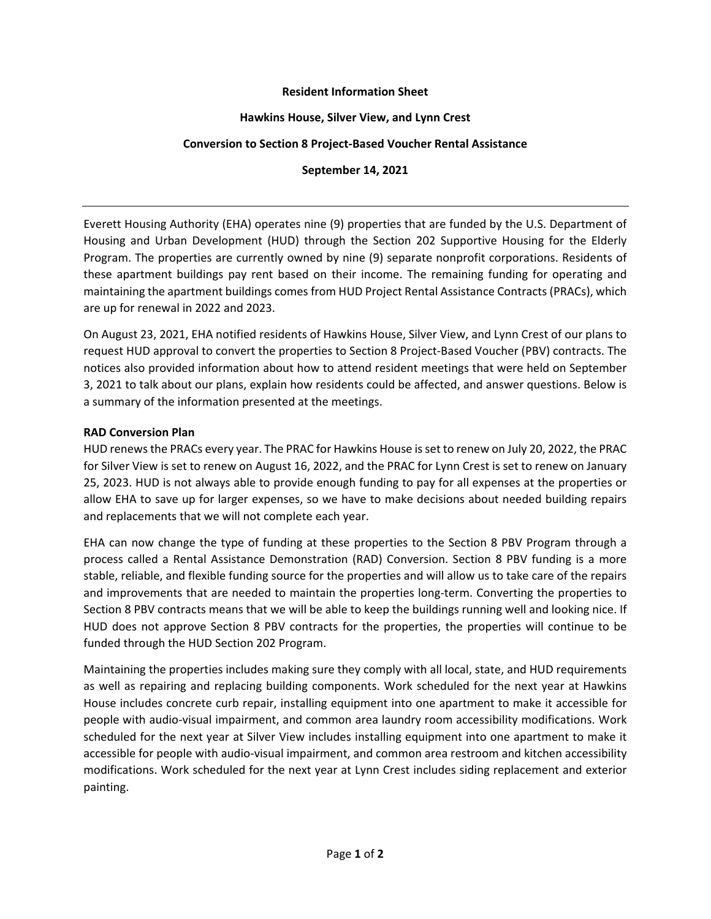## **Resident Information Sheet**

## **Hawkins House, Silver View, and Lynn Crest**

## **Conversion to Section 8 Project-Based Voucher Rental Assistance**

## **September 14, 2021**

Everett Housing Authority (EHA) operates nine (9) properties that are funded by the U.S. Department of Housing and Urban Development (HUD) through the Section 202 Supportive Housing for the Elderly Program. The properties are currently owned by nine (9) separate nonprofit corporations. Residents of these apartment buildings pay rent based on their income. The remaining funding for operating and maintaining the apartment buildings comes from HUD Project Rental Assistance Contracts (PRACs), which are up for renewal in 2022 and 2023.

On August 23, 2021, EHA notified residents of Hawkins House, Silver View, and Lynn Crest of our plans to request HUD approval to convert the properties to Section 8 Project-Based Voucher (PBV) contracts. The notices also provided information about how to attend resident meetings that were held on September 3, 2021 to talk about our plans, explain how residents could be affected, and answer questions. Below is a summary of the information presented at the meetings.

## **RAD Conversion Plan**

HUD renews the PRACs every year. The PRAC for Hawkins House is set to renew on July 20, 2022, the PRAC for Silver View is set to renew on August 16, 2022, and the PRAC for Lynn Crest is set to renew on January 25, 2023. HUD is not always able to provide enough funding to pay for all expenses at the properties or allow EHA to save up for larger expenses, so we have to make decisions about needed building repairs and replacements that we will not complete each year.

EHA can now change the type of funding at these properties to the Section 8 PBV Program through a process called a Rental Assistance Demonstration (RAD) Conversion. Section 8 PBV funding is a more stable, reliable, and flexible funding source for the properties and will allow us to take care of the repairs and improvements that are needed to maintain the properties long-term. Converting the properties to Section 8 PBV contracts means that we will be able to keep the buildings running well and looking nice. If HUD does not approve Section 8 PBV contracts for the properties, the properties will continue to be funded through the HUD Section 202 Program.

Maintaining the properties includes making sure they comply with all local, state, and HUD requirements as well as repairing and replacing building components. Work scheduled for the next year at Hawkins House includes concrete curb repair, installing equipment into one apartment to make it accessible for people with audio-visual impairment, and common area laundry room accessibility modifications. Work scheduled for the next year at Silver View includes installing equipment into one apartment to make it accessible for people with audio-visual impairment, and common area restroom and kitchen accessibility modifications. Work scheduled for the next year at Lynn Crest includes siding replacement and exterior painting.